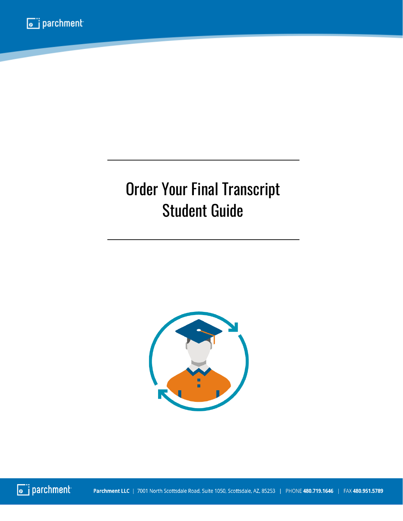## Order Your Final Transcript Student Guide



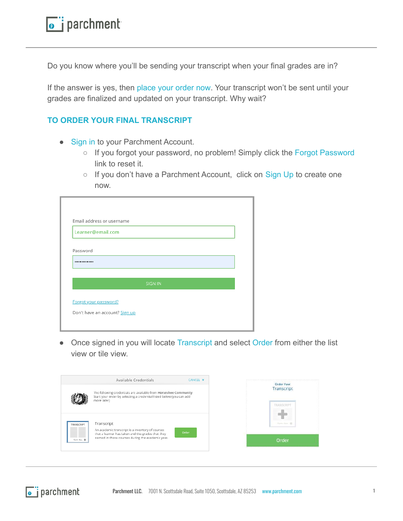Do you know where you'll be sending your transcript when your final grades are in?

If the answer is yes, then place your order now. Your transcript won't be sent until your grades are finalized and updated on your transcript. Why wait?

## **TO ORDER YOUR FINAL TRANSCRIPT**

- Sign in to your Parchment Account.
	- If you forgot your password, no problem! Simply click the Forgot Password link to reset it.
	- If you don't have a Parchment Account, click on Sign Up to create one now.

| Email address or username |         |  |
|---------------------------|---------|--|
| Learner@email.com         |         |  |
|                           |         |  |
| Password                  |         |  |
|                           |         |  |
|                           |         |  |
|                           |         |  |
|                           | SIGN IN |  |
|                           |         |  |
| Forgot your password?     |         |  |

Once signed in you will locate Transcript and select Order from either the list view or tile view.

| Available Credentials<br>CANCEL X                                                                                                          |                                 |
|--------------------------------------------------------------------------------------------------------------------------------------------|---------------------------------|
| The following credentials are available from Horseshoe Community.<br>Start your order by selecting a credential listed below (you can add  | Order Your<br><b>Transcript</b> |
| more later)                                                                                                                                |                                 |
| Transcript<br>TRANSCRIPT<br>An academic transcript is a inventory of courses<br>Order<br>that a learner has taken and the grades that they | <b>Golden Rose</b> , Ch.        |
| earned in those courses during the academic year.<br>Stanley, Sales, 198                                                                   | Order                           |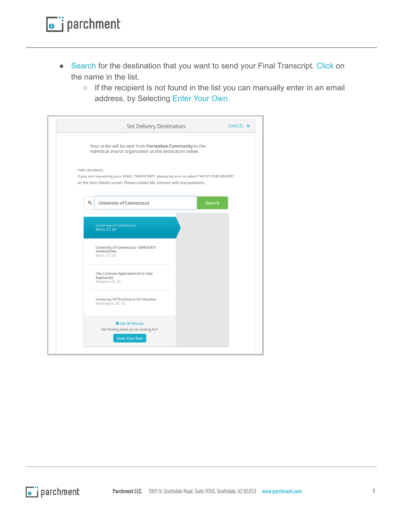- Search for the destination that you want to send your Final Transcript. Click on the name in the list.
	- If the recipient is not found in the list you can manually enter in an email address, by Selecting Enter Your Own.

|                 | Set Delivery Destination                                                                                                                                              |        | CANCEL X |
|-----------------|-----------------------------------------------------------------------------------------------------------------------------------------------------------------------|--------|----------|
|                 | Your order will be sent from Horseshoe Community to the<br>individual and/or organization at the destination below.                                                   |        |          |
| Hello Students. | If you are requesting your FINAL TRANSCRIPT, please be sure to select "HOLD FOR GRADES"<br>on the Item Details screen. Please contact Ms. Johnson with any questions. |        |          |
| Q               | University of Connecticut                                                                                                                                             | Search |          |
|                 | <b>University of Connecticut</b><br>Storrs, CT, US                                                                                                                    |        |          |
|                 | University of Connecticut - GRADUATE<br>ADMISSIONS<br>Storrs, CT, US                                                                                                  |        |          |
|                 | The Common Application (First Year<br>Applicants)<br>Arlington, VA, US                                                                                                |        |          |
|                 | University Of The District Of Columbia<br>Washington, DC, US                                                                                                          |        |          |
|                 | See All Results<br>Not finding what you're looking for?<br><b>Enter Your Own</b>                                                                                      |        |          |
|                 |                                                                                                                                                                       |        |          |

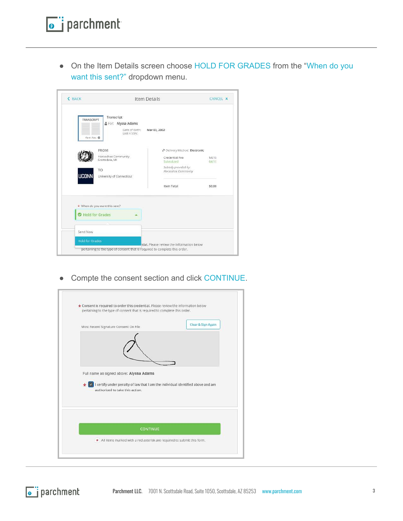• On the Item Details screen choose HOLD FOR GRADES from the "When do you want this sent?" dropdown menu.

| <b><back< b=""></back<></b>                      |                                                                    | Item Details                                                                                                             | <b>CANCEL X</b>              |
|--------------------------------------------------|--------------------------------------------------------------------|--------------------------------------------------------------------------------------------------------------------------|------------------------------|
| TRANSCRIPT<br>Kernethin B                        | Transcript<br>을 For: Alyssa Adams<br>Date of Birth:<br>Last 4 SSN: | Mar 03, 2002                                                                                                             |                              |
| <b>FROM</b><br>TO<br><b>UCONN</b>                | Horseshoe Community<br>Scottsdale, MI<br>University of Connecticut | Pelivery Method: Electronic<br>Credential Fee<br>Subsidized<br>Subsidy provided by:<br>Horseshoe Community<br>Item Total | \$4.15<br>$-54.15$<br>\$0.00 |
| * When do you want this sent?<br>Hold for Grades |                                                                    |                                                                                                                          |                              |
| Send Now                                         |                                                                    |                                                                                                                          |                              |
| <b>Hold for Grades</b>                           |                                                                    | htial, Please review the information below                                                                               |                              |

● Compte the consent section and click CONTINUE.

| Most Recent Signature Consent On File                                                                                                | Clear & Sign Again |
|--------------------------------------------------------------------------------------------------------------------------------------|--------------------|
|                                                                                                                                      |                    |
| Full name as signed above: Alyssa Adams                                                                                              |                    |
|                                                                                                                                      |                    |
| I certify under penalty of law that I am the individual identified above and am<br>$\star$ $\sim$<br>authorized to take this action. |                    |
|                                                                                                                                      |                    |